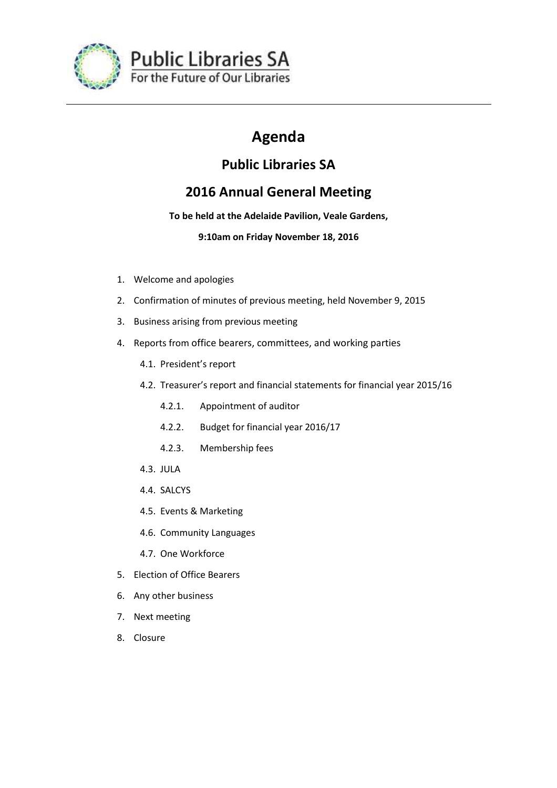

# **Agenda**

# **Public Libraries SA**

# **2016 Annual General Meeting**

## **To be held at the Adelaide Pavilion, Veale Gardens,**

## **9:10am on Friday November 18, 2016**

- 1. Welcome and apologies
- 2. Confirmation of minutes of previous meeting, held November 9, 2015
- 3. Business arising from previous meeting
- 4. Reports from office bearers, committees, and working parties
	- 4.1. President's report
	- 4.2. Treasurer's report and financial statements for financial year 2015/16
		- 4.2.1. Appointment of auditor
		- 4.2.2. Budget for financial year 2016/17
		- 4.2.3. Membership fees
	- 4.3. JULA
	- 4.4. SALCYS
	- 4.5. Events & Marketing
	- 4.6. Community Languages
	- 4.7. One Workforce
- 5. Election of Office Bearers
- 6. Any other business
- 7. Next meeting
- 8. Closure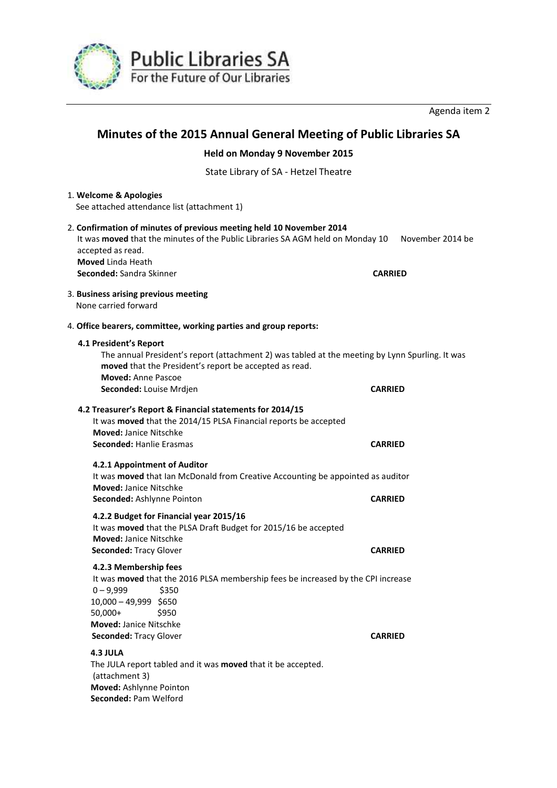

Agenda item 2

# **Minutes of the 2015 Annual General Meeting of Public Libraries SA**

**Held on Monday 9 November 2015** 

State Library of SA - Hetzel Theatre

| 1. Welcome & Apologies<br>See attached attendance list (attachment 1)                                                                                                                                                                       |                                    |
|---------------------------------------------------------------------------------------------------------------------------------------------------------------------------------------------------------------------------------------------|------------------------------------|
| 2. Confirmation of minutes of previous meeting held 10 November 2014<br>It was moved that the minutes of the Public Libraries SA AGM held on Monday 10<br>accepted as read.<br><b>Moved Linda Heath</b><br>Seconded: Sandra Skinner         | November 2014 be<br><b>CARRIED</b> |
| 3. Business arising previous meeting<br>None carried forward                                                                                                                                                                                |                                    |
| 4. Office bearers, committee, working parties and group reports:                                                                                                                                                                            |                                    |
| 4.1 President's Report<br>The annual President's report (attachment 2) was tabled at the meeting by Lynn Spurling. It was<br>moved that the President's report be accepted as read.<br>Moved: Anne Pascoe                                   |                                    |
| Seconded: Louise Mrdjen                                                                                                                                                                                                                     | <b>CARRIED</b>                     |
| 4.2 Treasurer's Report & Financial statements for 2014/15<br>It was moved that the 2014/15 PLSA Financial reports be accepted<br><b>Moved: Janice Nitschke</b><br>Seconded: Hanlie Erasmas                                                  | <b>CARRIED</b>                     |
| 4.2.1 Appointment of Auditor<br>It was moved that Ian McDonald from Creative Accounting be appointed as auditor<br><b>Moved: Janice Nitschke</b>                                                                                            |                                    |
| Seconded: Ashlynne Pointon                                                                                                                                                                                                                  | <b>CARRIED</b>                     |
| 4.2.2 Budget for Financial year 2015/16<br>It was moved that the PLSA Draft Budget for 2015/16 be accepted<br><b>Moved: Janice Nitschke</b><br><b>Seconded: Tracy Glover</b>                                                                | <b>CARRIED</b>                     |
| 4.2.3 Membership fees<br>It was moved that the 2016 PLSA membership fees be increased by the CPI increase<br>\$350<br>$0 - 9,999$<br>10,000 - 49,999 \$650<br>$50,000+$<br>\$950<br><b>Moved: Janice Nitschke</b><br>Seconded: Tracy Glover | <b>CARRIED</b>                     |
| 4.3 JULA<br>The JULA report tabled and it was moved that it be accepted.<br>(attachment 3)<br>Moved: Ashlynne Pointon<br>Seconded: Pam Welford                                                                                              |                                    |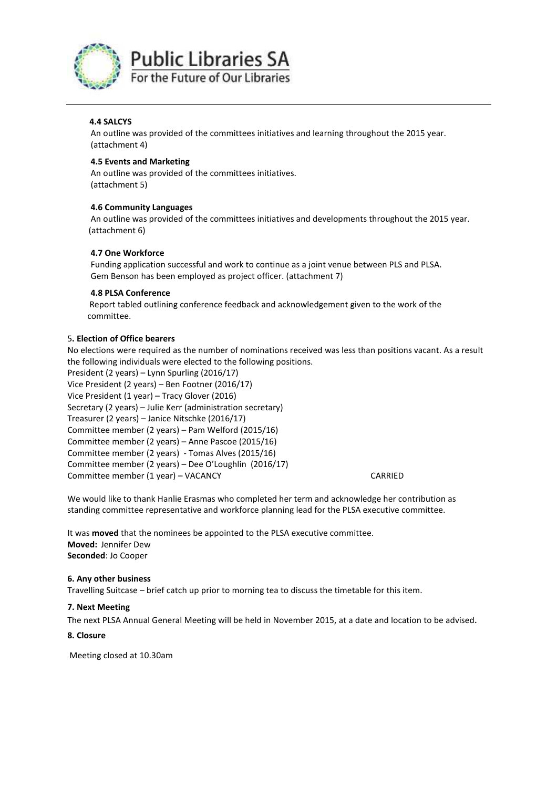

**Public Libraries SA** For the Future of Our Libraries

#### **4.4 SALCYS**

 An outline was provided of the committees initiatives and learning throughout the 2015 year. (attachment 4)

#### **4.5 Events and Marketing**

 An outline was provided of the committees initiatives. (attachment 5)

#### **4.6 Community Languages**

 An outline was provided of the committees initiatives and developments throughout the 2015 year. (attachment 6)

#### **4.7 One Workforce**

 Funding application successful and work to continue as a joint venue between PLS and PLSA. Gem Benson has been employed as project officer. (attachment 7)

#### **4.8 PLSA Conference**

 Report tabled outlining conference feedback and acknowledgement given to the work of the committee.

#### 5**. Election of Office bearers**

No elections were required as the number of nominations received was less than positions vacant. As a result the following individuals were elected to the following positions.

President (2 years) – Lynn Spurling (2016/17) Vice President (2 years) – Ben Footner (2016/17) Vice President (1 year) – Tracy Glover (2016) Secretary (2 years) – Julie Kerr (administration secretary) Treasurer (2 years) – Janice Nitschke (2016/17) Committee member (2 years) – Pam Welford (2015/16) Committee member (2 years) – Anne Pascoe (2015/16) Committee member (2 years) - Tomas Alves (2015/16) Committee member (2 years) – Dee O'Loughlin (2016/17) Committee member (1 year) – VACANCY CARRIED

We would like to thank Hanlie Erasmas who completed her term and acknowledge her contribution as standing committee representative and workforce planning lead for the PLSA executive committee.

It was **moved** that the nominees be appointed to the PLSA executive committee. **Moved:** Jennifer Dew **Seconded**: Jo Cooper

#### **6. Any other business**

Travelling Suitcase – brief catch up prior to morning tea to discuss the timetable for this item.

#### **7. Next Meeting**

The next PLSA Annual General Meeting will be held in November 2015, at a date and location to be advised.

#### **8. Closure**

Meeting closed at 10.30am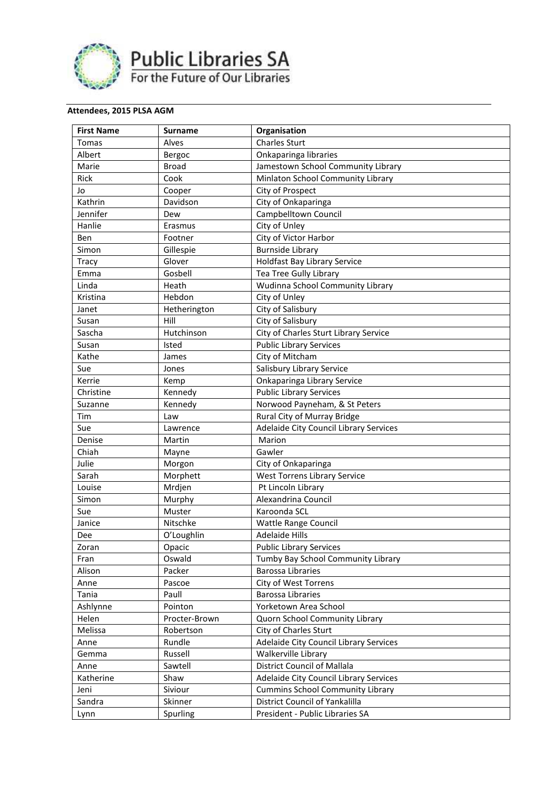

**Public Libraries SA**<br>For the Future of Our Libraries

## **Attendees, 2015 PLSA AGM**

| <b>First Name</b> | <b>Surname</b> | Organisation                            |
|-------------------|----------------|-----------------------------------------|
| <b>Tomas</b>      | Alves          | <b>Charles Sturt</b>                    |
| Albert            | Bergoc         | Onkaparinga libraries                   |
| Marie             | <b>Broad</b>   | Jamestown School Community Library      |
| Rick              | Cook           | Minlaton School Community Library       |
| Jo                | Cooper         | City of Prospect                        |
| Kathrin           | Davidson       | City of Onkaparinga                     |
| Jennifer          | Dew            | Campbelltown Council                    |
| Hanlie            | Erasmus        | City of Unley                           |
| Ben               | Footner        | City of Victor Harbor                   |
| Simon             | Gillespie      | <b>Burnside Library</b>                 |
| Tracy             | Glover         | <b>Holdfast Bay Library Service</b>     |
| Emma              | Gosbell        | Tea Tree Gully Library                  |
| Linda             | Heath          | Wudinna School Community Library        |
| Kristina          | Hebdon         | City of Unley                           |
| Janet             | Hetherington   | City of Salisbury                       |
| Susan             | Hill           | City of Salisbury                       |
| Sascha            | Hutchinson     | City of Charles Sturt Library Service   |
| Susan             | Isted          | <b>Public Library Services</b>          |
| Kathe             | James          | City of Mitcham                         |
| Sue               | Jones          | Salisbury Library Service               |
| Kerrie            | Kemp           | Onkaparinga Library Service             |
| Christine         | Kennedy        | <b>Public Library Services</b>          |
| Suzanne           | Kennedy        | Norwood Payneham, & St Peters           |
| Tim               | Law            | Rural City of Murray Bridge             |
| Sue               | Lawrence       | Adelaide City Council Library Services  |
| Denise            | Martin         | Marion                                  |
| Chiah             | Mayne          | Gawler                                  |
| Julie             | Morgon         | City of Onkaparinga                     |
| Sarah             | Morphett       | <b>West Torrens Library Service</b>     |
| Louise            | Mrdjen         | Pt Lincoln Library                      |
| Simon             | Murphy         | Alexandrina Council                     |
| Sue               | Muster         | Karoonda SCL                            |
| Janice            | Nitschke       | <b>Wattle Range Council</b>             |
| Dee               | O'Loughlin     | <b>Adelaide Hills</b>                   |
| Zoran             | Opacic         | <b>Public Library Services</b>          |
| Fran              | Oswald         | Tumby Bay School Community Library      |
| Alison            | Packer         | <b>Barossa Libraries</b>                |
| Anne              | Pascoe         | City of West Torrens                    |
| Tania             | Paull          | <b>Barossa Libraries</b>                |
| Ashlynne          | Pointon        | Yorketown Area School                   |
| Helen             | Procter-Brown  | Quorn School Community Library          |
| Melissa           | Robertson      | City of Charles Sturt                   |
| Anne              | Rundle         | Adelaide City Council Library Services  |
| Gemma             | Russell        | Walkerville Library                     |
| Anne              | Sawtell        | <b>District Council of Mallala</b>      |
| Katherine         | Shaw           | Adelaide City Council Library Services  |
| Jeni              | Siviour        | <b>Cummins School Community Library</b> |
| Sandra            | Skinner        | District Council of Yankalilla          |
| Lynn              | Spurling       | President - Public Libraries SA         |